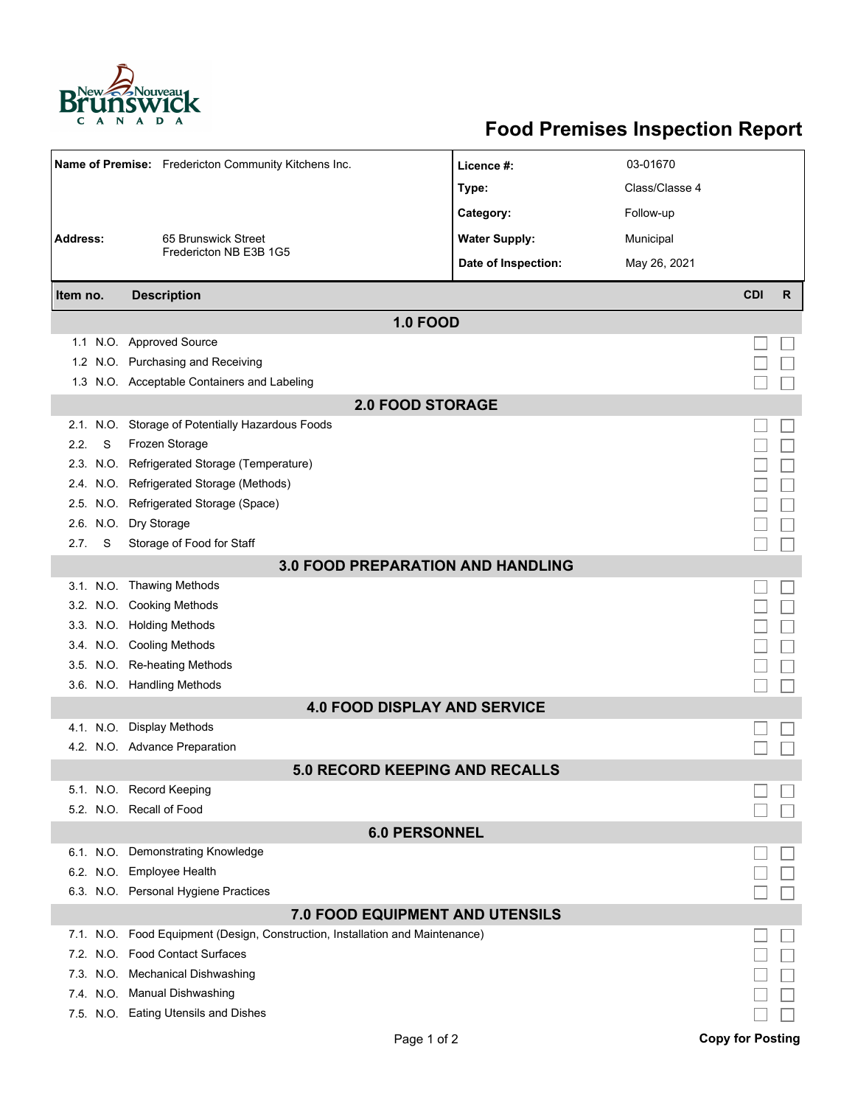

## **Food Premises Inspection Report**

| Name of Premise: Fredericton Community Kitchens Inc. |                                                                               | Licence #:           | 03-01670       |            |    |  |  |  |  |
|------------------------------------------------------|-------------------------------------------------------------------------------|----------------------|----------------|------------|----|--|--|--|--|
|                                                      |                                                                               | Type:                | Class/Classe 4 |            |    |  |  |  |  |
|                                                      |                                                                               | Category:            | Follow-up      |            |    |  |  |  |  |
| <b>Address:</b><br>65 Brunswick Street               |                                                                               | <b>Water Supply:</b> | Municipal      |            |    |  |  |  |  |
|                                                      | Fredericton NB E3B 1G5                                                        |                      |                |            |    |  |  |  |  |
|                                                      |                                                                               | Date of Inspection:  | May 26, 2021   |            |    |  |  |  |  |
| Item no.                                             | <b>Description</b>                                                            |                      |                | <b>CDI</b> | R. |  |  |  |  |
| <b>1.0 FOOD</b>                                      |                                                                               |                      |                |            |    |  |  |  |  |
|                                                      | 1.1 N.O. Approved Source                                                      |                      |                |            |    |  |  |  |  |
|                                                      | 1.2 N.O. Purchasing and Receiving                                             |                      |                |            |    |  |  |  |  |
|                                                      | 1.3 N.O. Acceptable Containers and Labeling                                   |                      |                |            |    |  |  |  |  |
| <b>2.0 FOOD STORAGE</b>                              |                                                                               |                      |                |            |    |  |  |  |  |
|                                                      | 2.1. N.O. Storage of Potentially Hazardous Foods                              |                      |                |            |    |  |  |  |  |
| 2.2.<br>S                                            | Frozen Storage                                                                |                      |                |            |    |  |  |  |  |
|                                                      | 2.3. N.O. Refrigerated Storage (Temperature)                                  |                      |                |            |    |  |  |  |  |
|                                                      | 2.4. N.O. Refrigerated Storage (Methods)                                      |                      |                |            |    |  |  |  |  |
|                                                      | 2.5. N.O. Refrigerated Storage (Space)                                        |                      |                |            |    |  |  |  |  |
|                                                      | 2.6. N.O. Dry Storage                                                         |                      |                |            |    |  |  |  |  |
| S<br>2.7.                                            | Storage of Food for Staff                                                     |                      |                |            |    |  |  |  |  |
| <b>3.0 FOOD PREPARATION AND HANDLING</b>             |                                                                               |                      |                |            |    |  |  |  |  |
|                                                      | 3.1. N.O. Thawing Methods                                                     |                      |                |            |    |  |  |  |  |
|                                                      | 3.2. N.O. Cooking Methods                                                     |                      |                |            |    |  |  |  |  |
|                                                      | 3.3. N.O. Holding Methods                                                     |                      |                |            |    |  |  |  |  |
|                                                      | 3.4. N.O. Cooling Methods                                                     |                      |                |            |    |  |  |  |  |
|                                                      | 3.5. N.O. Re-heating Methods                                                  |                      |                |            |    |  |  |  |  |
|                                                      | 3.6. N.O. Handling Methods                                                    |                      |                |            |    |  |  |  |  |
|                                                      | <b>4.0 FOOD DISPLAY AND SERVICE</b>                                           |                      |                |            |    |  |  |  |  |
|                                                      | 4.1. N.O. Display Methods                                                     |                      |                |            |    |  |  |  |  |
|                                                      | 4.2. N.O. Advance Preparation                                                 |                      |                |            |    |  |  |  |  |
|                                                      | <b>5.0 RECORD KEEPING AND RECALLS</b>                                         |                      |                |            |    |  |  |  |  |
|                                                      | 5.1. N.O. Record Keeping                                                      |                      |                |            |    |  |  |  |  |
|                                                      | 5.2. N.O. Recall of Food                                                      |                      |                |            |    |  |  |  |  |
| <b>6.0 PERSONNEL</b>                                 |                                                                               |                      |                |            |    |  |  |  |  |
|                                                      | 6.1. N.O. Demonstrating Knowledge                                             |                      |                |            |    |  |  |  |  |
|                                                      | 6.2. N.O. Employee Health                                                     |                      |                |            |    |  |  |  |  |
|                                                      | 6.3. N.O. Personal Hygiene Practices                                          |                      |                |            |    |  |  |  |  |
|                                                      | <b>7.0 FOOD EQUIPMENT AND UTENSILS</b>                                        |                      |                |            |    |  |  |  |  |
|                                                      | 7.1. N.O. Food Equipment (Design, Construction, Installation and Maintenance) |                      |                |            |    |  |  |  |  |
|                                                      | 7.2. N.O. Food Contact Surfaces                                               |                      |                |            |    |  |  |  |  |
|                                                      | 7.3. N.O. Mechanical Dishwashing                                              |                      |                |            |    |  |  |  |  |
|                                                      | 7.4. N.O. Manual Dishwashing                                                  |                      |                |            |    |  |  |  |  |
|                                                      | 7.5. N.O. Eating Utensils and Dishes                                          |                      |                |            |    |  |  |  |  |